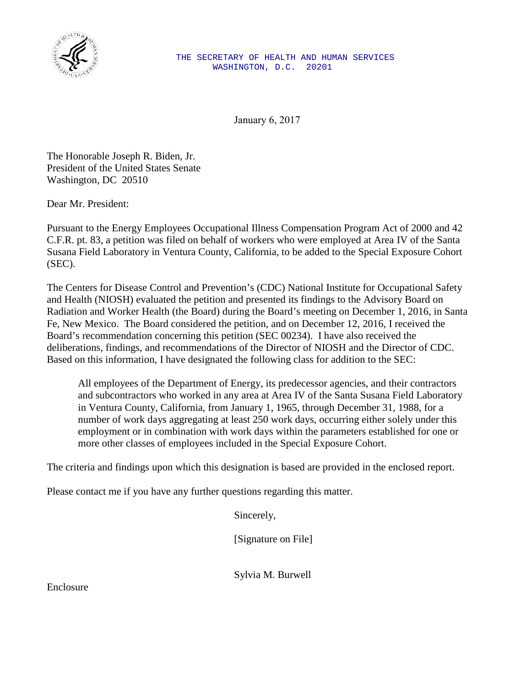

January 6, 2017

The Honorable Joseph R. Biden, Jr. President of the United States Senate Washington, DC 20510

Dear Mr. President:

Pursuant to the Energy Employees Occupational Illness Compensation Program Act of 2000 and 42 C.F.R. pt. 83, a petition was filed on behalf of workers who were employed at Area IV of the Santa Susana Field Laboratory in Ventura County, California, to be added to the Special Exposure Cohort (SEC).

The Centers for Disease Control and Prevention's (CDC) National Institute for Occupational Safety and Health (NIOSH) evaluated the petition and presented its findings to the Advisory Board on Radiation and Worker Health (the Board) during the Board's meeting on December 1, 2016, in Santa Fe, New Mexico. The Board considered the petition, and on December 12, 2016, I received the Board's recommendation concerning this petition (SEC 00234). I have also received the deliberations, findings, and recommendations of the Director of NIOSH and the Director of CDC. Based on this information, I have designated the following class for addition to the SEC:

All employees of the Department of Energy, its predecessor agencies, and their contractors and subcontractors who worked in any area at Area IV of the Santa Susana Field Laboratory in Ventura County, California, from January 1, 1965, through December 31, 1988, for a number of work days aggregating at least 250 work days, occurring either solely under this employment or in combination with work days within the parameters established for one or more other classes of employees included in the Special Exposure Cohort.

The criteria and findings upon which this designation is based are provided in the enclosed report.

Please contact me if you have any further questions regarding this matter.

Sincerely,

[Signature on File]

Sylvia M. Burwell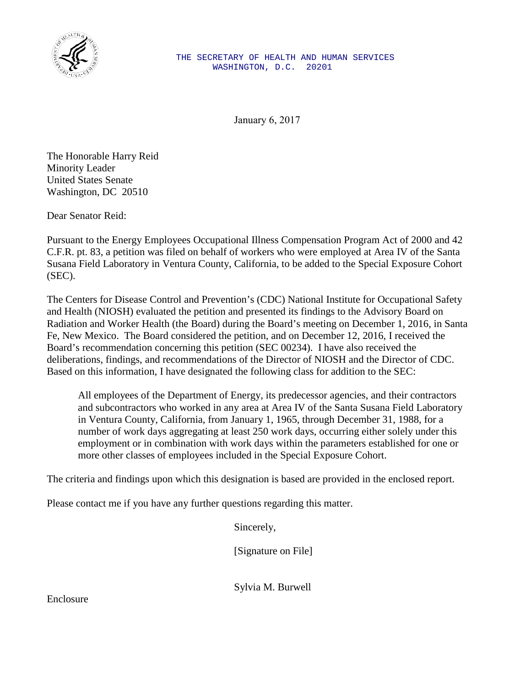

January 6, 2017

The Honorable Harry Reid Minority Leader United States Senate Washington, DC 20510

Dear Senator Reid:

Pursuant to the Energy Employees Occupational Illness Compensation Program Act of 2000 and 42 C.F.R. pt. 83, a petition was filed on behalf of workers who were employed at Area IV of the Santa Susana Field Laboratory in Ventura County, California, to be added to the Special Exposure Cohort (SEC).

The Centers for Disease Control and Prevention's (CDC) National Institute for Occupational Safety and Health (NIOSH) evaluated the petition and presented its findings to the Advisory Board on Radiation and Worker Health (the Board) during the Board's meeting on December 1, 2016, in Santa Fe, New Mexico. The Board considered the petition, and on December 12, 2016, I received the Board's recommendation concerning this petition (SEC 00234). I have also received the deliberations, findings, and recommendations of the Director of NIOSH and the Director of CDC. Based on this information, I have designated the following class for addition to the SEC:

All employees of the Department of Energy, its predecessor agencies, and their contractors and subcontractors who worked in any area at Area IV of the Santa Susana Field Laboratory in Ventura County, California, from January 1, 1965, through December 31, 1988, for a number of work days aggregating at least 250 work days, occurring either solely under this employment or in combination with work days within the parameters established for one or more other classes of employees included in the Special Exposure Cohort.

The criteria and findings upon which this designation is based are provided in the enclosed report.

Please contact me if you have any further questions regarding this matter.

Sincerely,

[Signature on File]

Sylvia M. Burwell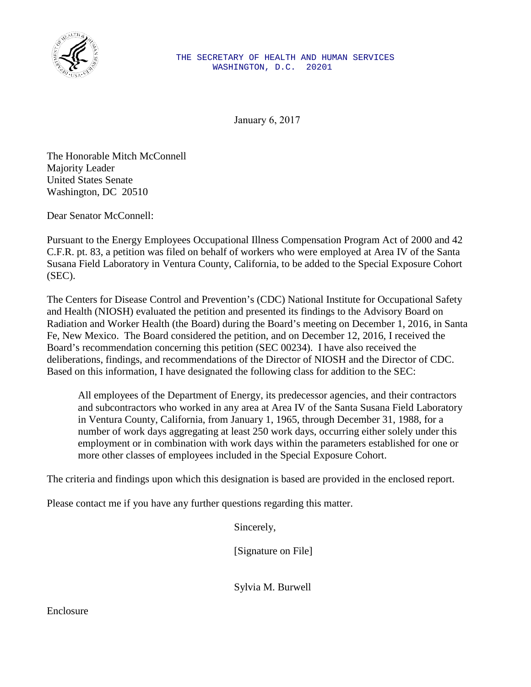

January 6, 2017

The Honorable Mitch McConnell Majority Leader United States Senate Washington, DC 20510

Dear Senator McConnell:

Pursuant to the Energy Employees Occupational Illness Compensation Program Act of 2000 and 42 C.F.R. pt. 83, a petition was filed on behalf of workers who were employed at Area IV of the Santa Susana Field Laboratory in Ventura County, California, to be added to the Special Exposure Cohort (SEC).

The Centers for Disease Control and Prevention's (CDC) National Institute for Occupational Safety and Health (NIOSH) evaluated the petition and presented its findings to the Advisory Board on Radiation and Worker Health (the Board) during the Board's meeting on December 1, 2016, in Santa Fe, New Mexico. The Board considered the petition, and on December 12, 2016, I received the Board's recommendation concerning this petition (SEC 00234). I have also received the deliberations, findings, and recommendations of the Director of NIOSH and the Director of CDC. Based on this information, I have designated the following class for addition to the SEC:

All employees of the Department of Energy, its predecessor agencies, and their contractors and subcontractors who worked in any area at Area IV of the Santa Susana Field Laboratory in Ventura County, California, from January 1, 1965, through December 31, 1988, for a number of work days aggregating at least 250 work days, occurring either solely under this employment or in combination with work days within the parameters established for one or more other classes of employees included in the Special Exposure Cohort.

The criteria and findings upon which this designation is based are provided in the enclosed report.

Please contact me if you have any further questions regarding this matter.

Sincerely,

[Signature on File]

Sylvia M. Burwell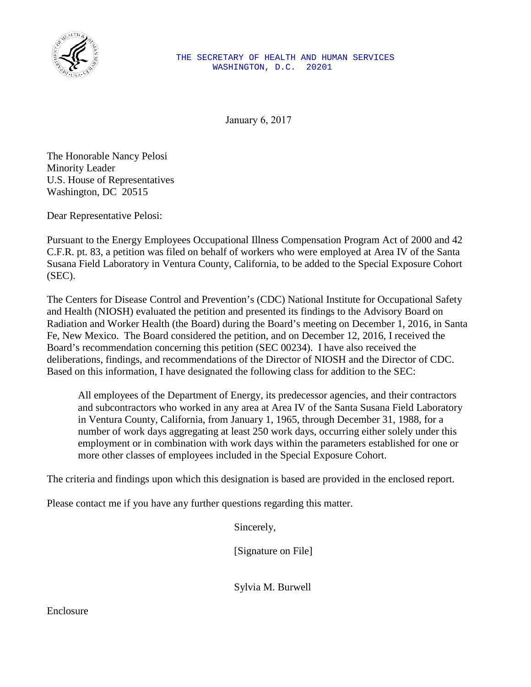

January 6, 2017

The Honorable Nancy Pelosi Minority Leader U.S. House of Representatives Washington, DC 20515

Dear Representative Pelosi:

Pursuant to the Energy Employees Occupational Illness Compensation Program Act of 2000 and 42 C.F.R. pt. 83, a petition was filed on behalf of workers who were employed at Area IV of the Santa Susana Field Laboratory in Ventura County, California, to be added to the Special Exposure Cohort (SEC).

The Centers for Disease Control and Prevention's (CDC) National Institute for Occupational Safety and Health (NIOSH) evaluated the petition and presented its findings to the Advisory Board on Radiation and Worker Health (the Board) during the Board's meeting on December 1, 2016, in Santa Fe, New Mexico. The Board considered the petition, and on December 12, 2016, I received the Board's recommendation concerning this petition (SEC 00234). I have also received the deliberations, findings, and recommendations of the Director of NIOSH and the Director of CDC. Based on this information, I have designated the following class for addition to the SEC:

All employees of the Department of Energy, its predecessor agencies, and their contractors and subcontractors who worked in any area at Area IV of the Santa Susana Field Laboratory in Ventura County, California, from January 1, 1965, through December 31, 1988, for a number of work days aggregating at least 250 work days, occurring either solely under this employment or in combination with work days within the parameters established for one or more other classes of employees included in the Special Exposure Cohort.

The criteria and findings upon which this designation is based are provided in the enclosed report.

Please contact me if you have any further questions regarding this matter.

Sincerely,

[Signature on File]

Sylvia M. Burwell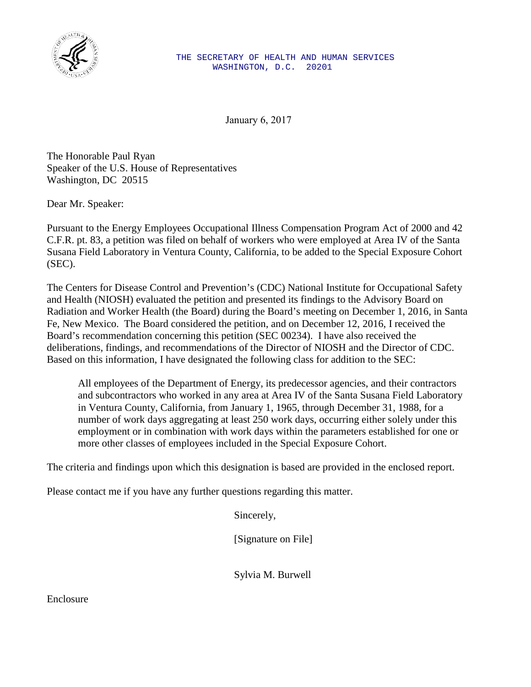

January 6, 2017

The Honorable Paul Ryan Speaker of the U.S. House of Representatives Washington, DC 20515

Dear Mr. Speaker:

Pursuant to the Energy Employees Occupational Illness Compensation Program Act of 2000 and 42 C.F.R. pt. 83, a petition was filed on behalf of workers who were employed at Area IV of the Santa Susana Field Laboratory in Ventura County, California, to be added to the Special Exposure Cohort (SEC).

The Centers for Disease Control and Prevention's (CDC) National Institute for Occupational Safety and Health (NIOSH) evaluated the petition and presented its findings to the Advisory Board on Radiation and Worker Health (the Board) during the Board's meeting on December 1, 2016, in Santa Fe, New Mexico. The Board considered the petition, and on December 12, 2016, I received the Board's recommendation concerning this petition (SEC 00234). I have also received the deliberations, findings, and recommendations of the Director of NIOSH and the Director of CDC. Based on this information, I have designated the following class for addition to the SEC:

All employees of the Department of Energy, its predecessor agencies, and their contractors and subcontractors who worked in any area at Area IV of the Santa Susana Field Laboratory in Ventura County, California, from January 1, 1965, through December 31, 1988, for a number of work days aggregating at least 250 work days, occurring either solely under this employment or in combination with work days within the parameters established for one or more other classes of employees included in the Special Exposure Cohort.

The criteria and findings upon which this designation is based are provided in the enclosed report.

Please contact me if you have any further questions regarding this matter.

Sincerely,

[Signature on File]

Sylvia M. Burwell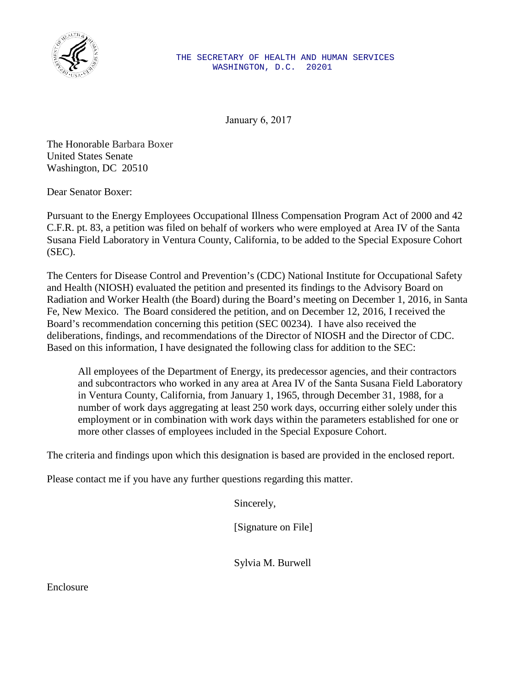

January 6, 2017

The Honorable Barbara Boxer United States Senate Washington, DC 20510

Dear Senator Boxer:

Pursuant to the Energy Employees Occupational Illness Compensation Program Act of 2000 and 42 C.F.R. pt. 83, a petition was filed on behalf of workers who were employed at Area IV of the Santa Susana Field Laboratory in Ventura County, California, to be added to the Special Exposure Cohort (SEC).

The Centers for Disease Control and Prevention's (CDC) National Institute for Occupational Safety and Health (NIOSH) evaluated the petition and presented its findings to the Advisory Board on Radiation and Worker Health (the Board) during the Board's meeting on December 1, 2016, in Santa Fe, New Mexico. The Board considered the petition, and on December 12, 2016, I received the Board's recommendation concerning this petition (SEC 00234). I have also received the deliberations, findings, and recommendations of the Director of NIOSH and the Director of CDC. Based on this information, I have designated the following class for addition to the SEC:

All employees of the Department of Energy, its predecessor agencies, and their contractors and subcontractors who worked in any area at Area IV of the Santa Susana Field Laboratory in Ventura County, California, from January 1, 1965, through December 31, 1988, for a number of work days aggregating at least 250 work days, occurring either solely under this employment or in combination with work days within the parameters established for one or more other classes of employees included in the Special Exposure Cohort.

The criteria and findings upon which this designation is based are provided in the enclosed report.

Please contact me if you have any further questions regarding this matter.

Sincerely,

[Signature on File]

Sylvia M. Burwell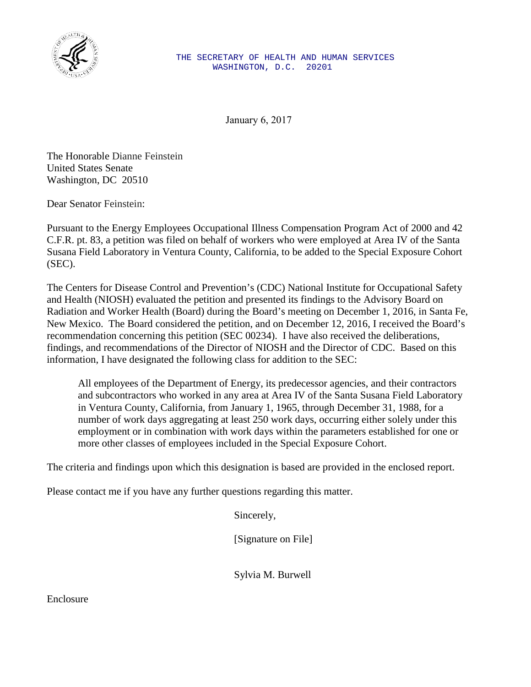

January 6, 2017

The Honorable Dianne Feinstein United States Senate Washington, DC 20510

Dear Senator Feinstein:

Pursuant to the Energy Employees Occupational Illness Compensation Program Act of 2000 and 42 C.F.R. pt. 83, a petition was filed on behalf of workers who were employed at Area IV of the Santa Susana Field Laboratory in Ventura County, California, to be added to the Special Exposure Cohort (SEC).

The Centers for Disease Control and Prevention's (CDC) National Institute for Occupational Safety and Health (NIOSH) evaluated the petition and presented its findings to the Advisory Board on Radiation and Worker Health (Board) during the Board's meeting on December 1, 2016, in Santa Fe, New Mexico. The Board considered the petition, and on December 12, 2016, I received the Board's recommendation concerning this petition (SEC 00234). I have also received the deliberations, findings, and recommendations of the Director of NIOSH and the Director of CDC. Based on this information, I have designated the following class for addition to the SEC:

All employees of the Department of Energy, its predecessor agencies, and their contractors and subcontractors who worked in any area at Area IV of the Santa Susana Field Laboratory in Ventura County, California, from January 1, 1965, through December 31, 1988, for a number of work days aggregating at least 250 work days, occurring either solely under this employment or in combination with work days within the parameters established for one or more other classes of employees included in the Special Exposure Cohort.

The criteria and findings upon which this designation is based are provided in the enclosed report.

Please contact me if you have any further questions regarding this matter.

Sincerely,

[Signature on File]

Sylvia M. Burwell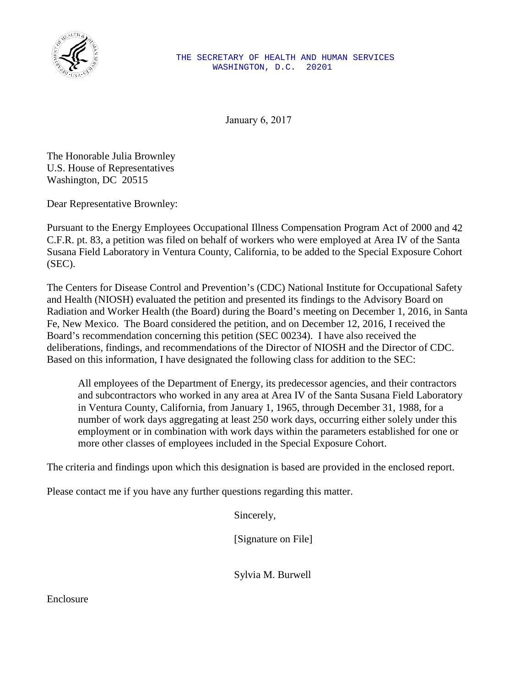

January 6, 2017

The Honorable Julia Brownley U.S. House of Representatives Washington, DC 20515

Dear Representative Brownley:

Pursuant to the Energy Employees Occupational Illness Compensation Program Act of 2000 and 42 C.F.R. pt. 83, a petition was filed on behalf of workers who were employed at Area IV of the Santa Susana Field Laboratory in Ventura County, California, to be added to the Special Exposure Cohort (SEC).

The Centers for Disease Control and Prevention's (CDC) National Institute for Occupational Safety and Health (NIOSH) evaluated the petition and presented its findings to the Advisory Board on Radiation and Worker Health (the Board) during the Board's meeting on December 1, 2016, in Santa Fe, New Mexico. The Board considered the petition, and on December 12, 2016, I received the Board's recommendation concerning this petition (SEC 00234). I have also received the deliberations, findings, and recommendations of the Director of NIOSH and the Director of CDC. Based on this information, I have designated the following class for addition to the SEC:

All employees of the Department of Energy, its predecessor agencies, and their contractors and subcontractors who worked in any area at Area IV of the Santa Susana Field Laboratory in Ventura County, California, from January 1, 1965, through December 31, 1988, for a number of work days aggregating at least 250 work days, occurring either solely under this employment or in combination with work days within the parameters established for one or more other classes of employees included in the Special Exposure Cohort.

The criteria and findings upon which this designation is based are provided in the enclosed report.

Please contact me if you have any further questions regarding this matter.

Sincerely,

[Signature on File]

Sylvia M. Burwell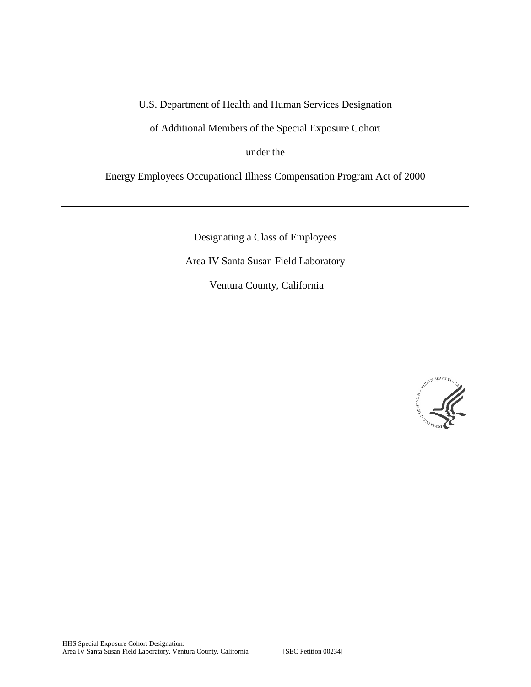## U.S. Department of Health and Human Services Designation

of Additional Members of the Special Exposure Cohort

under the

Energy Employees Occupational Illness Compensation Program Act of 2000

Designating a Class of Employees Area IV Santa Susan Field Laboratory Ventura County, California

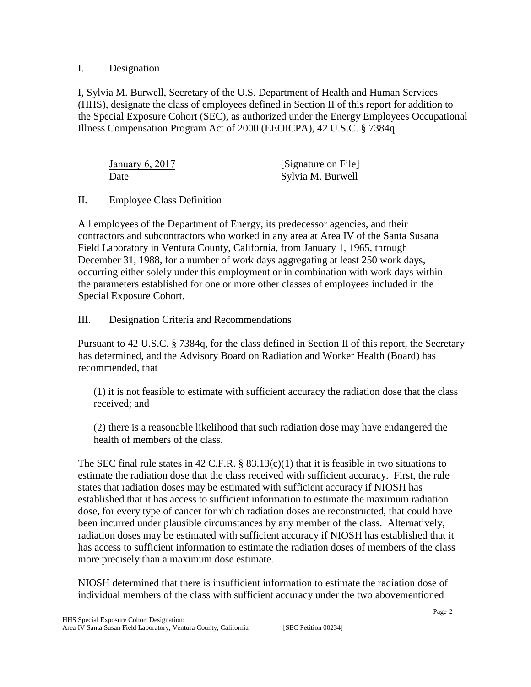## I. Designation

I, Sylvia M. Burwell, Secretary of the U.S. Department of Health and Human Services (HHS), designate the class of employees defined in Section II of this report for addition to the Special Exposure Cohort (SEC), as authorized under the Energy Employees Occupational Illness Compensation Program Act of 2000 (EEOICPA), 42 U.S.C. § 7384q.

| January $6, 2017$ | [Signature on File] |
|-------------------|---------------------|
| Date              | Sylvia M. Burwell   |

## II. Employee Class Definition

All employees of the Department of Energy, its predecessor agencies, and their contractors and subcontractors who worked in any area at Area IV of the Santa Susana Field Laboratory in Ventura County, California, from January 1, 1965, through December 31, 1988, for a number of work days aggregating at least 250 work days, occurring either solely under this employment or in combination with work days within the parameters established for one or more other classes of employees included in the Special Exposure Cohort.

## III. Designation Criteria and Recommendations

Pursuant to 42 U.S.C. § 7384q, for the class defined in Section II of this report, the Secretary has determined, and the Advisory Board on Radiation and Worker Health (Board) has recommended, that

(1) it is not feasible to estimate with sufficient accuracy the radiation dose that the class received; and

(2) there is a reasonable likelihood that such radiation dose may have endangered the health of members of the class.

The SEC final rule states in 42 C.F.R. §  $83.13(c)(1)$  that it is feasible in two situations to estimate the radiation dose that the class received with sufficient accuracy. First, the rule states that radiation doses may be estimated with sufficient accuracy if NIOSH has established that it has access to sufficient information to estimate the maximum radiation dose, for every type of cancer for which radiation doses are reconstructed, that could have been incurred under plausible circumstances by any member of the class. Alternatively, radiation doses may be estimated with sufficient accuracy if NIOSH has established that it has access to sufficient information to estimate the radiation doses of members of the class more precisely than a maximum dose estimate.

NIOSH determined that there is insufficient information to estimate the radiation dose of individual members of the class with sufficient accuracy under the two abovementioned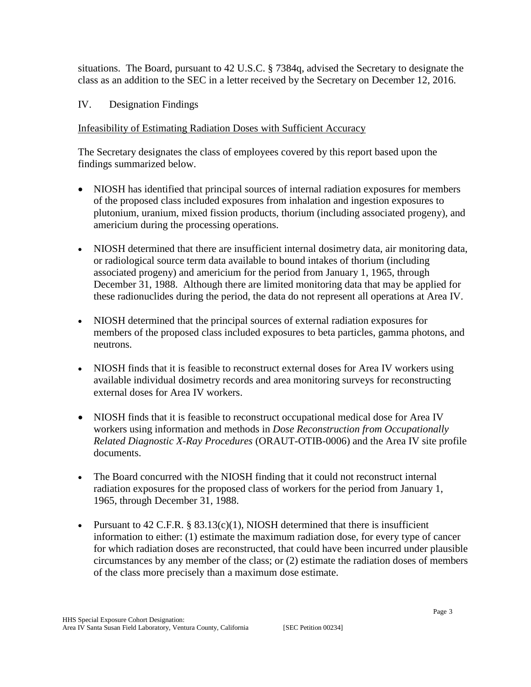situations. The Board, pursuant to 42 U.S.C. § 7384q, advised the Secretary to designate the class as an addition to the SEC in a letter received by the Secretary on December 12, 2016.

IV. Designation Findings

# Infeasibility of Estimating Radiation Doses with Sufficient Accuracy

The Secretary designates the class of employees covered by this report based upon the findings summarized below.

- NIOSH has identified that principal sources of internal radiation exposures for members of the proposed class included exposures from inhalation and ingestion exposures to plutonium, uranium, mixed fission products, thorium (including associated progeny), and americium during the processing operations.
- NIOSH determined that there are insufficient internal dosimetry data, air monitoring data, or radiological source term data available to bound intakes of thorium (including associated progeny) and americium for the period from January 1, 1965, through December 31, 1988. Although there are limited monitoring data that may be applied for these radionuclides during the period, the data do not represent all operations at Area IV.
- NIOSH determined that the principal sources of external radiation exposures for members of the proposed class included exposures to beta particles, gamma photons, and neutrons.
- NIOSH finds that it is feasible to reconstruct external doses for Area IV workers using available individual dosimetry records and area monitoring surveys for reconstructing external doses for Area IV workers.
- NIOSH finds that it is feasible to reconstruct occupational medical dose for Area IV workers using information and methods in *Dose Reconstruction from Occupationally Related Diagnostic X-Ray Procedures* (ORAUT-OTIB-0006) and the Area IV site profile documents.
- The Board concurred with the NIOSH finding that it could not reconstruct internal radiation exposures for the proposed class of workers for the period from January 1, 1965, through December 31, 1988.
- Pursuant to  $42$  C.F.R. §  $83.13(c)(1)$ , NIOSH determined that there is insufficient information to either: (1) estimate the maximum radiation dose, for every type of cancer for which radiation doses are reconstructed, that could have been incurred under plausible circumstances by any member of the class; or (2) estimate the radiation doses of members of the class more precisely than a maximum dose estimate.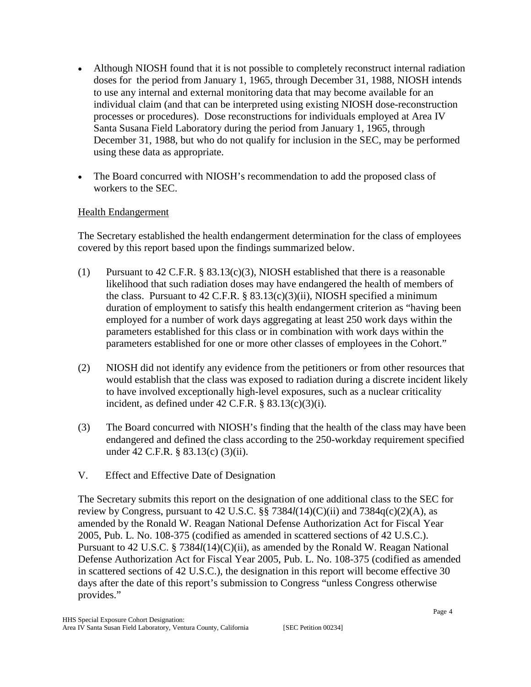- Although NIOSH found that it is not possible to completely reconstruct internal radiation doses for the period from January 1, 1965, through December 31, 1988, NIOSH intends to use any internal and external monitoring data that may become available for an individual claim (and that can be interpreted using existing NIOSH dose-reconstruction processes or procedures). Dose reconstructions for individuals employed at Area IV Santa Susana Field Laboratory during the period from January 1, 1965, through December 31, 1988, but who do not qualify for inclusion in the SEC, may be performed using these data as appropriate.
- The Board concurred with NIOSH's recommendation to add the proposed class of workers to the SEC.

## Health Endangerment

The Secretary established the health endangerment determination for the class of employees covered by this report based upon the findings summarized below.

- (1) Pursuant to 42 C.F.R. § 83.13(c)(3), NIOSH established that there is a reasonable likelihood that such radiation doses may have endangered the health of members of the class. Pursuant to  $42$  C.F.R. §  $83.13(c)(3)(ii)$ , NIOSH specified a minimum duration of employment to satisfy this health endangerment criterion as "having been employed for a number of work days aggregating at least 250 work days within the parameters established for this class or in combination with work days within the parameters established for one or more other classes of employees in the Cohort."
- (2) NIOSH did not identify any evidence from the petitioners or from other resources that would establish that the class was exposed to radiation during a discrete incident likely to have involved exceptionally high-level exposures, such as a nuclear criticality incident, as defined under  $42$  C.F.R. §  $83.13(c)(3)(i)$ .
- (3) The Board concurred with NIOSH's finding that the health of the class may have been endangered and defined the class according to the 250-workday requirement specified under 42 C.F.R. § 83.13(c) (3)(ii).
- V. Effect and Effective Date of Designation

The Secretary submits this report on the designation of one additional class to the SEC for review by Congress, pursuant to 42 U.S.C. §§ 7384*l*(14)(C)(ii) and 7384q(c)(2)(A), as amended by the Ronald W. Reagan National Defense Authorization Act for Fiscal Year 2005, Pub. L. No. 108-375 (codified as amended in scattered sections of 42 U.S.C.). Pursuant to 42 U.S.C. § 7384*l*(14)(C)(ii), as amended by the Ronald W. Reagan National Defense Authorization Act for Fiscal Year 2005, Pub. L. No. 108-375 (codified as amended in scattered sections of 42 U.S.C.), the designation in this report will become effective 30 days after the date of this report's submission to Congress "unless Congress otherwise provides."